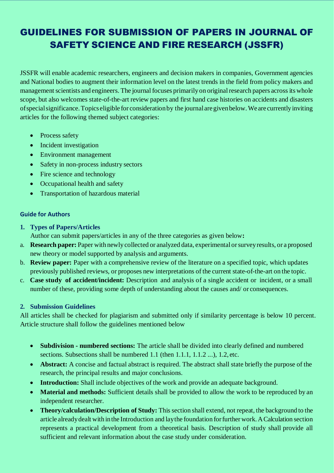# GUIDELINES FOR SUBMISSION OF PAPERS IN JOURNAL OF SAFETY SCIENCE AND FIRE RESEARCH (JSSFR)

JSSFR will enable academic researchers, engineers and decision makers in companies, Government agencies and National bodies to augment their information level on the latest trends in the field from policy makers and management scientists and engineers. The journal focuses primarily on original research papers across its whole scope, but also welcomes state-of-the-art review papers and first hand case histories on accidents and disasters ofspecialsignificance.Topics eligible for considerationby the journalaregivenbelow.We are currentlyinviting articles for the following themed subject categories:

- Process safety
- Incident investigation
- Environment management
- Safety in non-process industry sectors
- Fire science and technology
- Occupational health and safety
- Transportation of hazardous material

### **Guide for Authors**

**1. Types of Papers/Articles**

Author can submit papers/articles in any of the three categories as given below**:**

- a. **Research paper:** Paper with newly collected or analyzed data, experimental orsurveyresults, or a proposed new theory or model supported by analysis and arguments.
- b. **Review paper:** Paper with a comprehensive review of the literature on a specified topic, which updates previously published reviews, or proposes new interpretations of the current state-of-the-art on the topic.
- c. **Case study of accident/incident:** Description and analysis of a single accident or incident, or a small number of these, providing some depth of understanding about the causes and/ or consequences.

# **2. Submission Guidelines**

All articles shall be checked for plagiarism and submitted only if similarity percentage is below 10 percent. Article structure shall follow the guidelines mentioned below

- **Subdivision - numbered sections:** The article shall be divided into clearly defined and numbered sections. Subsections shall be numbered 1.1 (then 1.1.1, 1.1.2 ...), 1.2, etc.
- **Abstract:** A concise and factual abstract is required. The abstract shall state briefly the purpose of the research, the principal results and major conclusions.
- **Introduction:** Shall include objectives of the work and provide an adequate background.
- **Material and methods:** Sufficient details shall be provided to allow the work to be reproduced by an independent researcher.
- Theory/calculation/Description of Study: This section shall extend, not repeat, the background to the article alreadydealt with inthe Introduction and laythe foundation forfurther work.ACalculation section represents a practical development from a theoretical basis. Description of study shall provide all sufficient and relevant information about the case study under consideration.